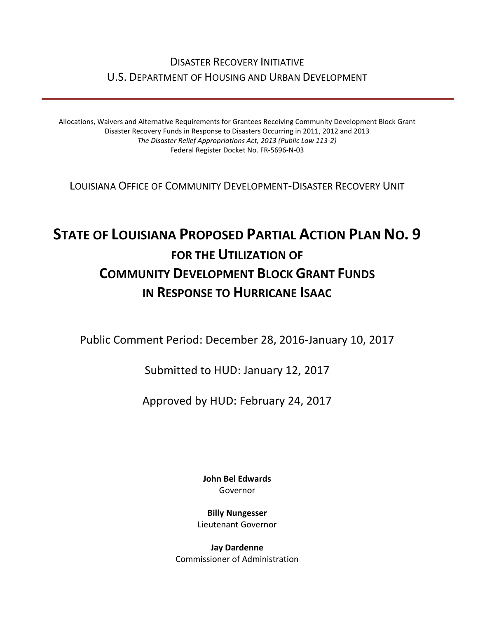# DISASTER RECOVERY INITIATIVE U.S. DEPARTMENT OF HOUSING AND URBAN DEVELOPMENT

Allocations, Waivers and Alternative Requirements for Grantees Receiving Community Development Block Grant Disaster Recovery Funds in Response to Disasters Occurring in 2011, 2012 and 2013 *The Disaster Relief Appropriations Act, 2013 (Public Law 113-2)* Federal Register Docket No. FR-5696-N-03

LOUISIANA OFFICE OF COMMUNITY DEVELOPMENT-DISASTER RECOVERY UNIT

# **STATE OF LOUISIANA PROPOSED PARTIAL ACTION PLAN NO. 9 FOR THE UTILIZATION OF COMMUNITY DEVELOPMENT BLOCK GRANT FUNDS IN RESPONSE TO HURRICANE ISAAC**

Public Comment Period: December 28, 2016-January 10, 2017

Submitted to HUD: January 12, 2017

Approved by HUD: February 24, 2017

**[John Bel Edwards](https://www.facebook.com/LouisianaGov/)** Governor

**Billy Nungesser** Lieutenant Governor

**Jay Dardenne** Commissioner of Administration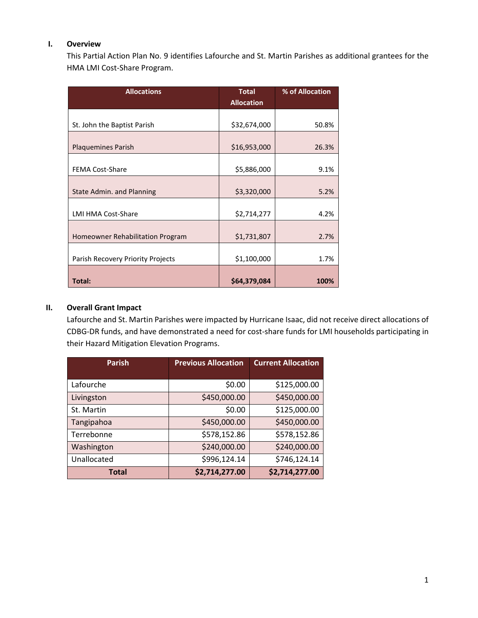#### **I. Overview**

This Partial Action Plan No. 9 identifies Lafourche and St. Martin Parishes as additional grantees for the HMA LMI Cost-Share Program.

| <b>Allocations</b>                | <b>Total</b><br><b>Allocation</b> | % of Allocation |
|-----------------------------------|-----------------------------------|-----------------|
|                                   |                                   |                 |
| St. John the Baptist Parish       | \$32,674,000                      | 50.8%           |
| <b>Plaguemines Parish</b>         | \$16,953,000                      | 26.3%           |
| <b>FEMA Cost-Share</b>            | \$5,886,000                       | 9.1%            |
| State Admin. and Planning         | \$3,320,000                       | 5.2%            |
| <b>LMI HMA Cost-Share</b>         | \$2,714,277                       | 4.2%            |
| Homeowner Rehabilitation Program  | \$1,731,807                       | 2.7%            |
| Parish Recovery Priority Projects | \$1,100,000                       | 1.7%            |
| Total:                            | \$64,379,084                      | 100%            |

### **II. Overall Grant Impact**

Lafourche and St. Martin Parishes were impacted by Hurricane Isaac, did not receive direct allocations of CDBG-DR funds, and have demonstrated a need for cost-share funds for LMI households participating in their Hazard Mitigation Elevation Programs.

| <b>Parish</b> | <b>Previous Allocation</b> | <b>Current Allocation</b> |
|---------------|----------------------------|---------------------------|
|               |                            |                           |
| Lafourche     | \$0.00                     | \$125,000.00              |
| Livingston    | \$450,000.00               | \$450,000.00              |
| St. Martin    | \$0.00                     | \$125,000.00              |
| Tangipahoa    | \$450,000.00               | \$450,000.00              |
| Terrebonne    | \$578,152.86               | \$578,152.86              |
| Washington    | \$240,000.00               | \$240,000.00              |
| Unallocated   | \$996,124.14               | \$746,124.14              |
| <b>Total</b>  | \$2,714,277.00             | \$2,714,277.00            |